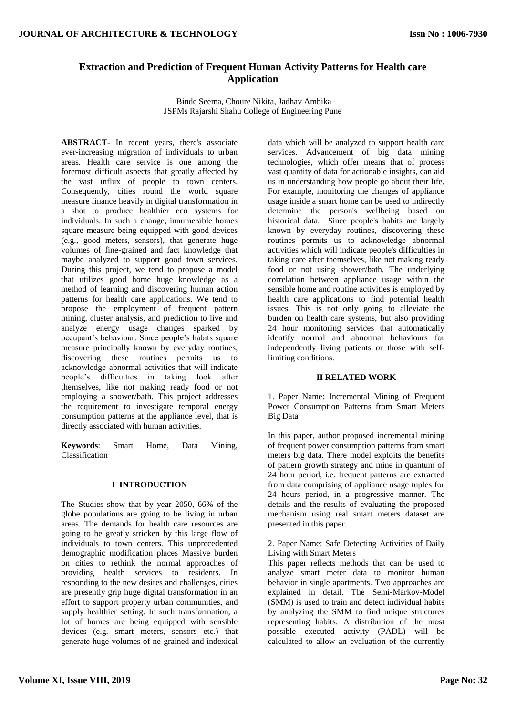# **Extraction and Prediction of Frequent Human Activity Patterns for Health care Application**

Binde Seema, Choure Nikita, Jadhav Ambika JSPMs Rajarshi Shahu College of Engineering Pune

**ABSTRACT***-* In recent years, there's associate ever-increasing migration of individuals to urban areas. Health care service is one among the foremost difficult aspects that greatly affected by the vast influx of people to town centers. Consequently, cities round the world square measure finance heavily in digital transformation in a shot to produce healthier eco systems for individuals. In such a change, innumerable homes square measure being equipped with good devices (e.g., good meters, sensors), that generate huge volumes of fine-grained and fact knowledge that maybe analyzed to support good town services. During this project, we tend to propose a model that utilizes good home huge knowledge as a method of learning and discovering human action patterns for health care applications. We tend to propose the employment of frequent pattern mining, cluster analysis, and prediction to live and analyze energy usage changes sparked by occupant's behaviour. Since people's habits square measure principally known by everyday routines, discovering these routines permits us to acknowledge abnormal activities that will indicate people's difficulties in taking look after themselves, like not making ready food or not employing a shower/bath. This project addresses the requirement to investigate temporal energy consumption patterns at the appliance level, that is directly associated with human activities.

**Keywords**: Smart Home, Data Mining, Classification

#### **I INTRODUCTION**

The Studies show that by year 2050, 66% of the globe populations are going to be living in urban areas. The demands for health care resources are going to be greatly stricken by this large flow of individuals to town centers. This unprecedented demographic modification places Massive burden on cities to rethink the normal approaches of providing health services to residents. In responding to the new desires and challenges, cities are presently grip huge digital transformation in an effort to support property urban communities, and supply healthier setting. In such transformation, a lot of homes are being equipped with sensible devices (e.g. smart meters, sensors etc.) that generate huge volumes of ne-grained and indexical

data which will be analyzed to support health care services. Advancement of big data mining technologies, which offer means that of process vast quantity of data for actionable insights, can aid us in understanding how people go about their life. For example, monitoring the changes of appliance usage inside a smart home can be used to indirectly determine the person's wellbeing based on historical data. Since people's habits are largely known by everyday routines, discovering these routines permits us to acknowledge abnormal activities which will indicate people's difficulties in taking care after themselves, like not making ready food or not using shower/bath. The underlying correlation between appliance usage within the sensible home and routine activities is employed by health care applications to find potential health issues. This is not only going to alleviate the burden on health care systems, but also providing 24 hour monitoring services that automatically identify normal and abnormal behaviours for independently living patients or those with selflimiting conditions.

#### **II RELATED WORK**

1. Paper Name: Incremental Mining of Frequent Power Consumption Patterns from Smart Meters Big Data

In this paper, author proposed incremental mining of frequent power consumption patterns from smart meters big data. There model exploits the benefits of pattern growth strategy and mine in quantum of 24 hour period, i.e. frequent patterns are extracted from data comprising of appliance usage tuples for 24 hours period, in a progressive manner. The details and the results of evaluating the proposed mechanism using real smart meters dataset are presented in this paper.

2. Paper Name: Safe Detecting Activities of Daily Living with Smart Meters

This paper reflects methods that can be used to analyze smart meter data to monitor human behavior in single apartments. Two approaches are explained in detail. The Semi-Markov-Model (SMM) is used to train and detect individual habits by analyzing the SMM to find unique structures representing habits. A distribution of the most possible executed activity (PADL) will be calculated to allow an evaluation of the currently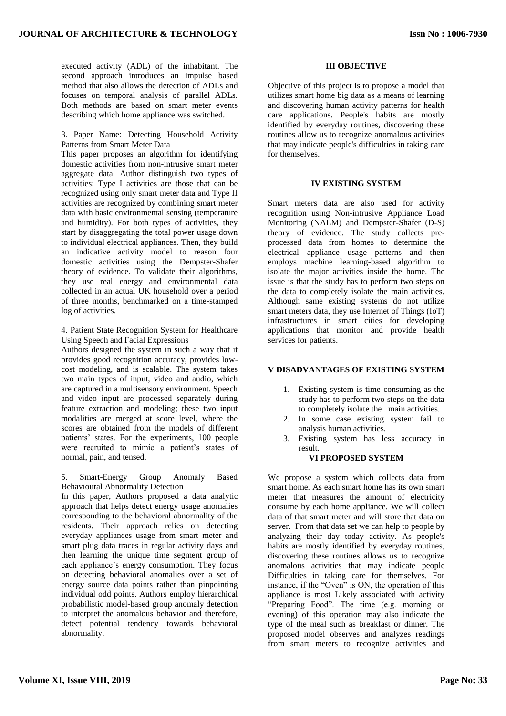executed activity (ADL) of the inhabitant. The second approach introduces an impulse based method that also allows the detection of ADLs and focuses on temporal analysis of parallel ADLs. Both methods are based on smart meter events describing which home appliance was switched.

### 3. Paper Name: Detecting Household Activity Patterns from Smart Meter Data

This paper proposes an algorithm for identifying domestic activities from non-intrusive smart meter aggregate data. Author distinguish two types of activities: Type I activities are those that can be recognized using only smart meter data and Type II activities are recognized by combining smart meter data with basic environmental sensing (temperature and humidity). For both types of activities, they start by disaggregating the total power usage down to individual electrical appliances. Then, they build an indicative activity model to reason four domestic activities using the Dempster-Shafer theory of evidence. To validate their algorithms, they use real energy and environmental data collected in an actual UK household over a period of three months, benchmarked on a time-stamped log of activities.

### 4. Patient State Recognition System for Healthcare Using Speech and Facial Expressions

Authors designed the system in such a way that it provides good recognition accuracy, provides lowcost modeling, and is scalable. The system takes two main types of input, video and audio, which are captured in a multisensory environment. Speech and video input are processed separately during feature extraction and modeling; these two input modalities are merged at score level, where the scores are obtained from the models of different patients' states. For the experiments, 100 people were recruited to mimic a patient's states of normal, pain, and tensed.

#### 5. Smart-Energy Group Anomaly Based Behavioural Abnormality Detection

In this paper, Authors proposed a data analytic approach that helps detect energy usage anomalies corresponding to the behavioral abnormality of the residents. Their approach relies on detecting everyday appliances usage from smart meter and smart plug data traces in regular activity days and then learning the unique time segment group of each appliance's energy consumption. They focus on detecting behavioral anomalies over a set of energy source data points rather than pinpointing individual odd points. Authors employ hierarchical probabilistic model-based group anomaly detection to interpret the anomalous behavior and therefore, detect potential tendency towards behavioral abnormality.

## **III OBJECTIVE**

Objective of this project is to propose a model that utilizes smart home big data as a means of learning and discovering human activity patterns for health care applications. People's habits are mostly identified by everyday routines, discovering these routines allow us to recognize anomalous activities that may indicate people's difficulties in taking care for themselves.

## **IV EXISTING SYSTEM**

Smart meters data are also used for activity recognition using Non-intrusive Appliance Load Monitoring (NALM) and Dempster-Shafer (D-S) theory of evidence. The study collects preprocessed data from homes to determine the electrical appliance usage patterns and then employs machine learning-based algorithm to isolate the major activities inside the home. The issue is that the study has to perform two steps on the data to completely isolate the main activities. Although same existing systems do not utilize smart meters data, they use Internet of Things (IoT) infrastructures in smart cities for developing applications that monitor and provide health services for patients.

## **V DISADVANTAGES OF EXISTING SYSTEM**

- 1. Existing system is time consuming as the study has to perform two steps on the data to completely isolate the main activities.
- 2. In some case existing system fail to analysis human activities.
- 3. Existing system has less accuracy in result.

## **VI PROPOSED SYSTEM**

We propose a system which collects data from smart home. As each smart home has its own smart meter that measures the amount of electricity consume by each home appliance. We will collect data of that smart meter and will store that data on server. From that data set we can help to people by analyzing their day today activity. As people's habits are mostly identified by everyday routines, discovering these routines allows us to recognize anomalous activities that may indicate people Difficulties in taking care for themselves, For instance, if the "Oven" is ON, the operation of this appliance is most Likely associated with activity "Preparing Food". The time (e.g. morning or evening) of this operation may also indicate the type of the meal such as breakfast or dinner. The proposed model observes and analyzes readings from smart meters to recognize activities and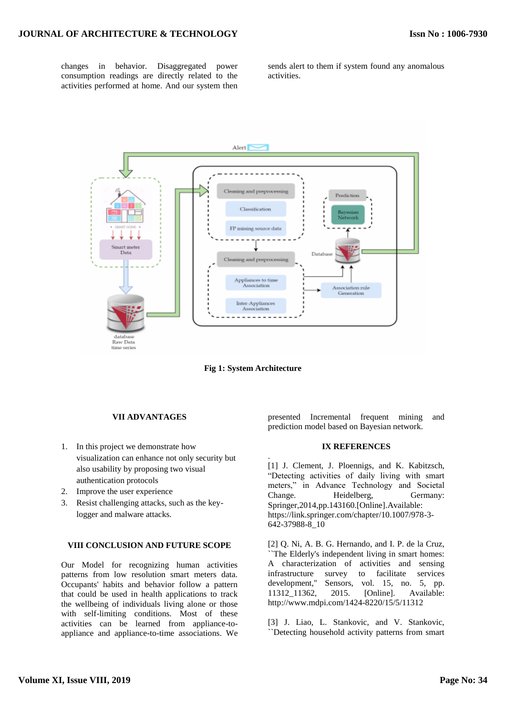changes in behavior. Disaggregated power consumption readings are directly related to the activities performed at home. And our system then

sends alert to them if system found any anomalous activities.



**Fig 1: System Architecture**

.

## **VII ADVANTAGES**

- 1. In this project we demonstrate how visualization can enhance not only security but also usability by proposing two visual authentication protocols
- 2. Improve the user experience
- 3. Resist challenging attacks, such as the keylogger and malware attacks.

## **VIII CONCLUSION AND FUTURE SCOPE**

Our Model for recognizing human activities patterns from low resolution smart meters data. Occupants' habits and behavior follow a pattern that could be used in health applications to track the wellbeing of individuals living alone or those with self-limiting conditions. Most of these activities can be learned from appliance-toappliance and appliance-to-time associations. We presented Incremental frequent mining and prediction model based on Bayesian network.

#### **IX REFERENCES**

[1] J. Clement, J. Ploennigs, and K. Kabitzsch, "Detecting activities of daily living with smart meters," in Advance Technology and Societal Change. Heidelberg, Germany: Springer,2014,pp.143160.[Online].Available: https://link.springer.com/chapter/10.1007/978-3- 642-37988-8\_10

[2] Q. Ni, A. B. G. Hernando, and I. P. de la Cruz, ``The Elderly's independent living in smart homes: A characterization of activities and sensing infrastructure survey to facilitate services development,'' Sensors, vol. 15, no. 5, pp. 11312\_11362, 2015. [Online]. Available: http://www.mdpi.com/1424-8220/15/5/11312

[3] J. Liao, L. Stankovic, and V. Stankovic, ``Detecting household activity patterns from smart